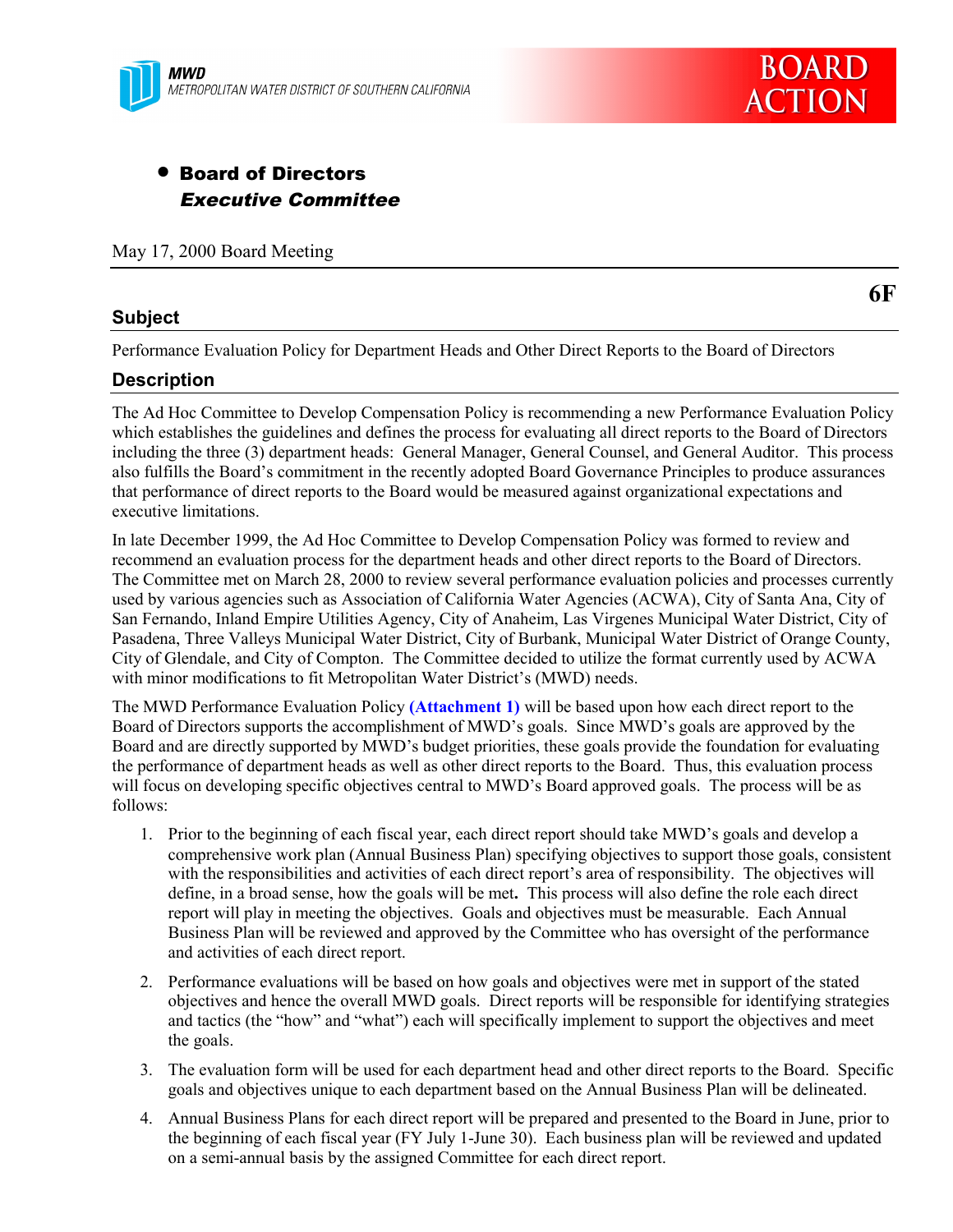

# • Board of Directors Executive Committee

May 17, 2000 Board Meeting

#### **Subject**

**6F**

Performance Evaluation Policy for Department Heads and Other Direct Reports to the Board of Directors

#### **Description**

The Ad Hoc Committee to Develop Compensation Policy is recommending a new Performance Evaluation Policy which establishes the guidelines and defines the process for evaluating all direct reports to the Board of Directors including the three (3) department heads: General Manager, General Counsel, and General Auditor. This process also fulfills the Board's commitment in the recently adopted Board Governance Principles to produce assurances that performance of direct reports to the Board would be measured against organizational expectations and executive limitations.

In late December 1999, the Ad Hoc Committee to Develop Compensation Policy was formed to review and recommend an evaluation process for the department heads and other direct reports to the Board of Directors. The Committee met on March 28, 2000 to review several performance evaluation policies and processes currently used by various agencies such as Association of California Water Agencies (ACWA), City of Santa Ana, City of San Fernando, Inland Empire Utilities Agency, City of Anaheim, Las Virgenes Municipal Water District, City of Pasadena, Three Valleys Municipal Water District, City of Burbank, Municipal Water District of Orange County, City of Glendale, and City of Compton. The Committee decided to utilize the format currently used by ACWA with minor modifications to fit Metropolitan Water District's (MWD) needs.

The MWD Performance Evaluation Policy **(Attachment 1)** will be based upon how each direct report to the Board of Directors supports the accomplishment of MWD's goals. Since MWD's goals are approved by the Board and are directly supported by MWD's budget priorities, these goals provide the foundation for evaluating the performance of department heads as well as other direct reports to the Board. Thus, this evaluation process will focus on developing specific objectives central to MWD's Board approved goals. The process will be as follows:

- 1. Prior to the beginning of each fiscal year, each direct report should take MWD's goals and develop a comprehensive work plan (Annual Business Plan) specifying objectives to support those goals, consistent with the responsibilities and activities of each direct report's area of responsibility. The objectives will define, in a broad sense, how the goals will be met**.** This process will also define the role each direct report will play in meeting the objectives. Goals and objectives must be measurable. Each Annual Business Plan will be reviewed and approved by the Committee who has oversight of the performance and activities of each direct report.
- 2. Performance evaluations will be based on how goals and objectives were met in support of the stated objectives and hence the overall MWD goals. Direct reports will be responsible for identifying strategies and tactics (the "how" and "what") each will specifically implement to support the objectives and meet the goals.
- 3. The evaluation form will be used for each department head and other direct reports to the Board. Specific goals and objectives unique to each department based on the Annual Business Plan will be delineated.
- 4. Annual Business Plans for each direct report will be prepared and presented to the Board in June, prior to the beginning of each fiscal year (FY July 1-June 30). Each business plan will be reviewed and updated on a semi-annual basis by the assigned Committee for each direct report.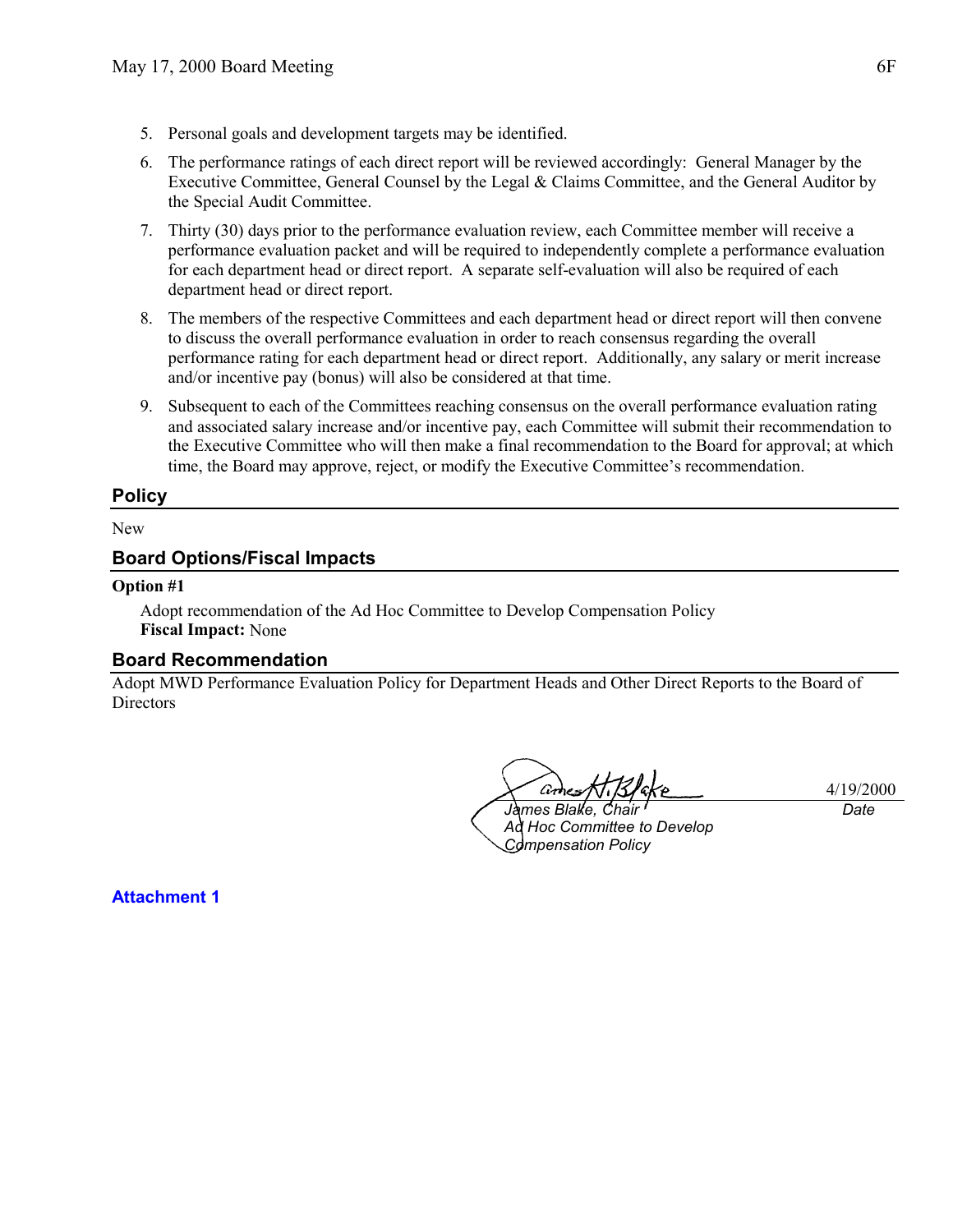- 5. Personal goals and development targets may be identified.
- 6. The performance ratings of each direct report will be reviewed accordingly: General Manager by the Executive Committee, General Counsel by the Legal & Claims Committee, and the General Auditor by the Special Audit Committee.
- 7. Thirty (30) days prior to the performance evaluation review, each Committee member will receive a performance evaluation packet and will be required to independently complete a performance evaluation for each department head or direct report. A separate self-evaluation will also be required of each department head or direct report.
- 8. The members of the respective Committees and each department head or direct report will then convene to discuss the overall performance evaluation in order to reach consensus regarding the overall performance rating for each department head or direct report. Additionally, any salary or merit increase and/or incentive pay (bonus) will also be considered at that time.
- 9. Subsequent to each of the Committees reaching consensus on the overall performance evaluation rating and associated salary increase and/or incentive pay, each Committee will submit their recommendation to the Executive Committee who will then make a final recommendation to the Board for approval; at which time, the Board may approve, reject, or modify the Executive Committee's recommendation.

#### **Policy**

#### New

#### **Board Options/Fiscal Impacts**

#### **Option #1**

**Attachment 1**

Adopt recommendation of the Ad Hoc Committee to Develop Compensation Policy **Fiscal Impact:** None

#### **Board Recommendation**

Adopt MWD Performance Evaluation Policy for Department Heads and Other Direct Reports to the Board of **Directors** 

4/19/2000

*James Blake, Chair Ad Hoc Committee to Develop Compensation Policy*

*Date*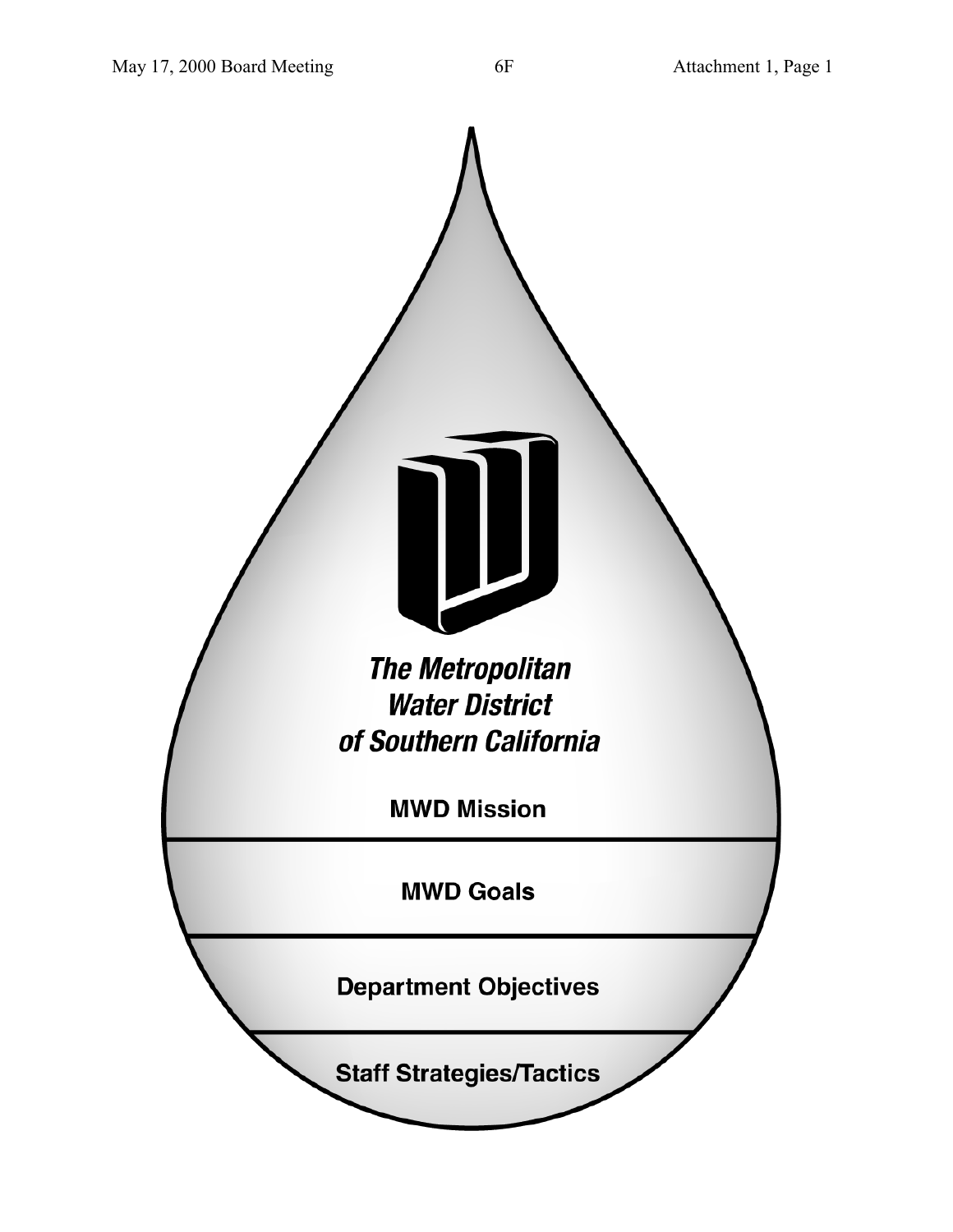I de la companya de la companya del **The Metropolitan Water District** of Southern California **MWD Mission MWD Goals Department Objectives Staff Strategies/Tactics**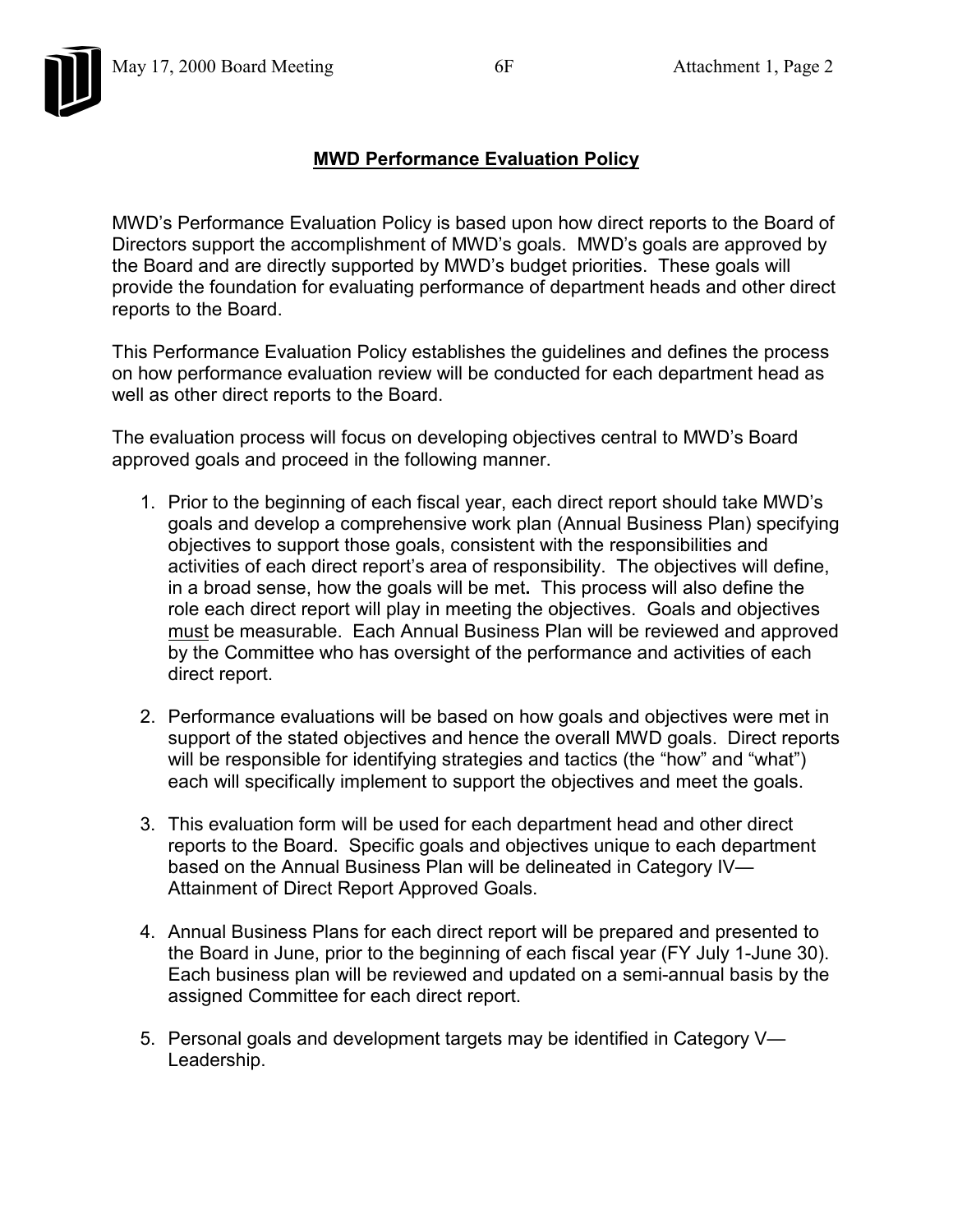## **MWD Performance Evaluation Policy**

MWD's Performance Evaluation Policy is based upon how direct reports to the Board of Directors support the accomplishment of MWD's goals. MWD's goals are approved by the Board and are directly supported by MWD's budget priorities. These goals will provide the foundation for evaluating performance of department heads and other direct reports to the Board.

This Performance Evaluation Policy establishes the guidelines and defines the process on how performance evaluation review will be conducted for each department head as well as other direct reports to the Board.

The evaluation process will focus on developing objectives central to MWD's Board approved goals and proceed in the following manner.

- 1. Prior to the beginning of each fiscal year, each direct report should take MWD's goals and develop a comprehensive work plan (Annual Business Plan) specifying objectives to support those goals, consistent with the responsibilities and activities of each direct report's area of responsibility. The objectives will define, in a broad sense, how the goals will be met**.** This process will also define the role each direct report will play in meeting the objectives. Goals and objectives must be measurable. Each Annual Business Plan will be reviewed and approved by the Committee who has oversight of the performance and activities of each direct report.
- 2. Performance evaluations will be based on how goals and objectives were met in support of the stated objectives and hence the overall MWD goals. Direct reports will be responsible for identifying strategies and tactics (the "how" and "what") each will specifically implement to support the objectives and meet the goals.
- 3. This evaluation form will be used for each department head and other direct reports to the Board. Specific goals and objectives unique to each department based on the Annual Business Plan will be delineated in Category IV— Attainment of Direct Report Approved Goals.
- 4. Annual Business Plans for each direct report will be prepared and presented to the Board in June, prior to the beginning of each fiscal year (FY July 1-June 30). Each business plan will be reviewed and updated on a semi-annual basis by the assigned Committee for each direct report.
- 5. Personal goals and development targets may be identified in Category V— Leadership.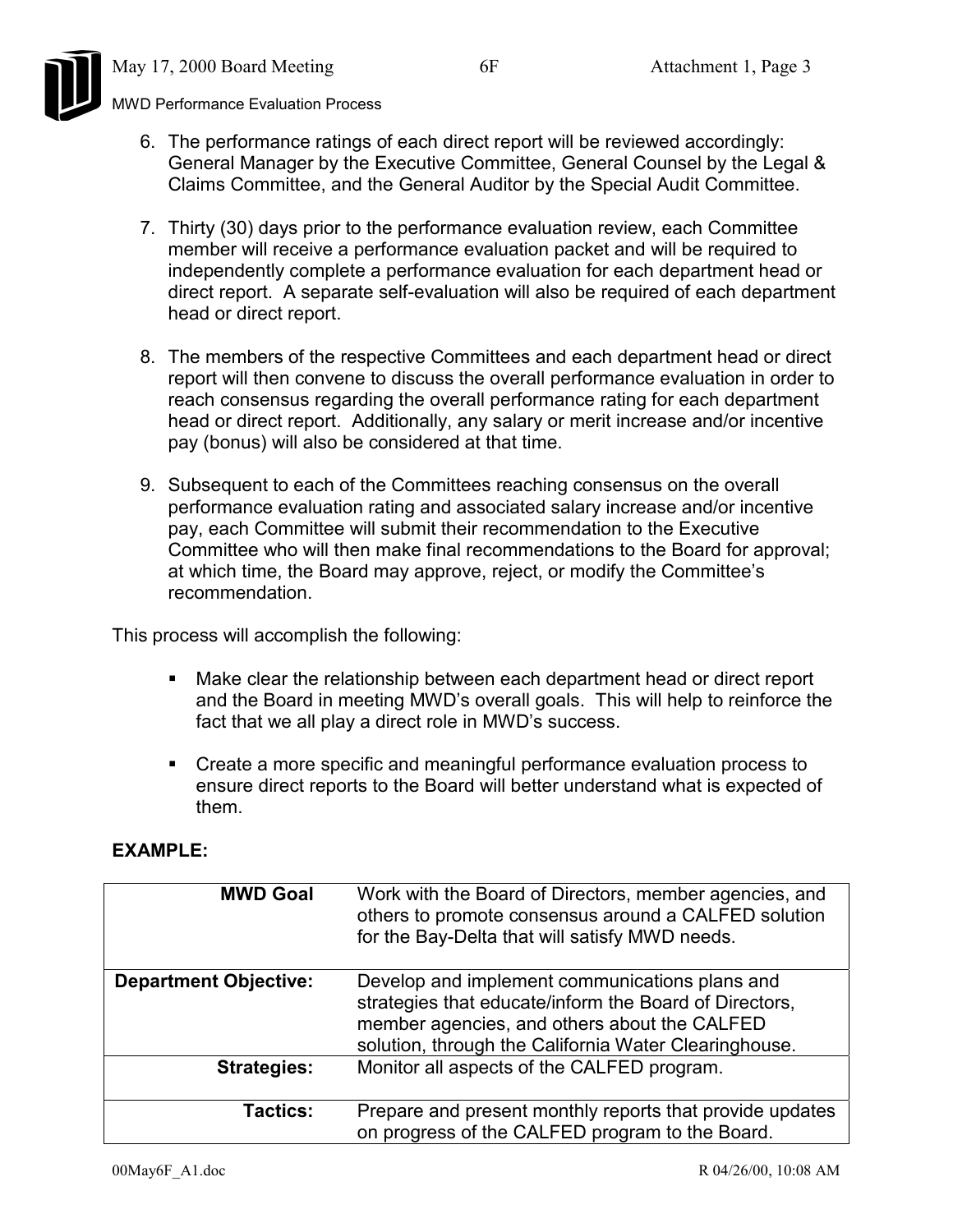

- 6. The performance ratings of each direct report will be reviewed accordingly: General Manager by the Executive Committee, General Counsel by the Legal & Claims Committee, and the General Auditor by the Special Audit Committee.
- 7. Thirty (30) days prior to the performance evaluation review, each Committee member will receive a performance evaluation packet and will be required to independently complete a performance evaluation for each department head or direct report. A separate self-evaluation will also be required of each department head or direct report.
- 8. The members of the respective Committees and each department head or direct report will then convene to discuss the overall performance evaluation in order to reach consensus regarding the overall performance rating for each department head or direct report. Additionally, any salary or merit increase and/or incentive pay (bonus) will also be considered at that time.
- 9. Subsequent to each of the Committees reaching consensus on the overall performance evaluation rating and associated salary increase and/or incentive pay, each Committee will submit their recommendation to the Executive Committee who will then make final recommendations to the Board for approval; at which time, the Board may approve, reject, or modify the Committee's recommendation.

This process will accomplish the following:

- ! Make clear the relationship between each department head or direct report and the Board in meeting MWD's overall goals. This will help to reinforce the fact that we all play a direct role in MWD's success.
- ! Create a more specific and meaningful performance evaluation process to ensure direct reports to the Board will better understand what is expected of them.

### **EXAMPLE:**

| <b>MWD Goal</b>              | Work with the Board of Directors, member agencies, and<br>others to promote consensus around a CALFED solution<br>for the Bay-Delta that will satisfy MWD needs.                                                  |
|------------------------------|-------------------------------------------------------------------------------------------------------------------------------------------------------------------------------------------------------------------|
| <b>Department Objective:</b> | Develop and implement communications plans and<br>strategies that educate/inform the Board of Directors,<br>member agencies, and others about the CALFED<br>solution, through the California Water Clearinghouse. |
| <b>Strategies:</b>           | Monitor all aspects of the CALFED program.                                                                                                                                                                        |
| <b>Tactics:</b>              | Prepare and present monthly reports that provide updates<br>on progress of the CALFED program to the Board.                                                                                                       |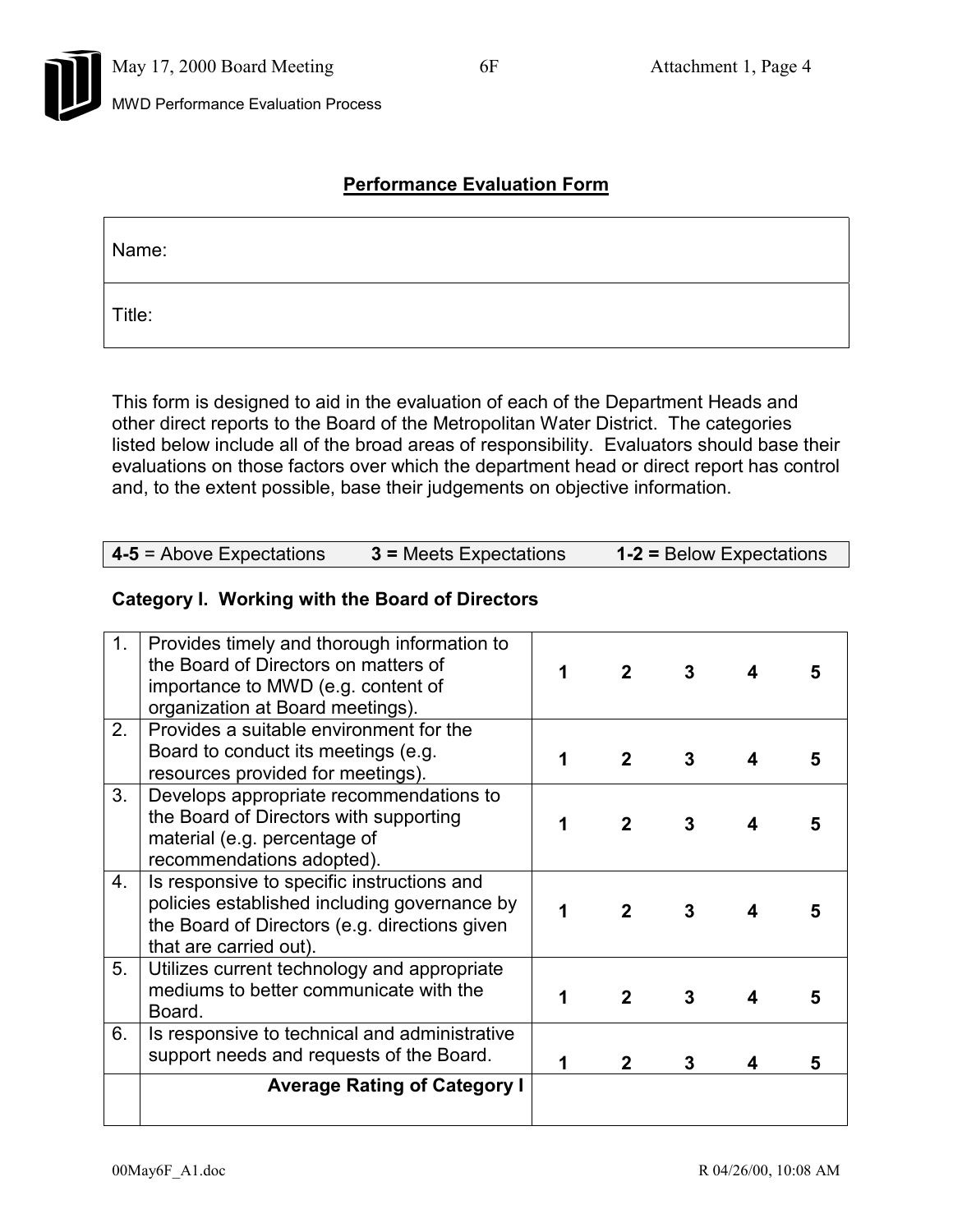# **Performance Evaluation Form**

| Name:  |  |
|--------|--|
| Title: |  |

This form is designed to aid in the evaluation of each of the Department Heads and other direct reports to the Board of the Metropolitan Water District. The categories listed below include all of the broad areas of responsibility. Evaluators should base their evaluations on those factors over which the department head or direct report has control and, to the extent possible, base their judgements on objective information.

| $1-2$ = Below Expectations<br>$4-5$ = Above Expectations<br>$3$ = Meets Expectations |
|--------------------------------------------------------------------------------------|
|--------------------------------------------------------------------------------------|

### **Category I. Working with the Board of Directors**

| 1 <sub>1</sub>   | Provides timely and thorough information to<br>the Board of Directors on matters of<br>importance to MWD (e.g. content of<br>organization at Board meetings).         | $\mathbf{2}$ | 3 |   |
|------------------|-----------------------------------------------------------------------------------------------------------------------------------------------------------------------|--------------|---|---|
| 2.               | Provides a suitable environment for the<br>Board to conduct its meetings (e.g.<br>resources provided for meetings).                                                   | $\mathbf{2}$ | 3 | 5 |
| 3.               | Develops appropriate recommendations to<br>the Board of Directors with supporting<br>material (e.g. percentage of<br>recommendations adopted).                        | $\mathbf{2}$ | 3 | 5 |
| $\overline{4}$ . | Is responsive to specific instructions and<br>policies established including governance by<br>the Board of Directors (e.g. directions given<br>that are carried out). | $\mathbf 2$  | 3 |   |
| 5.               | Utilizes current technology and appropriate<br>mediums to better communicate with the<br>Board.                                                                       | $\mathbf{2}$ | 3 | 5 |
| 6.               | Is responsive to technical and administrative<br>support needs and requests of the Board.                                                                             | $\mathbf{2}$ |   | 5 |
|                  | <b>Average Rating of Category I</b>                                                                                                                                   |              |   |   |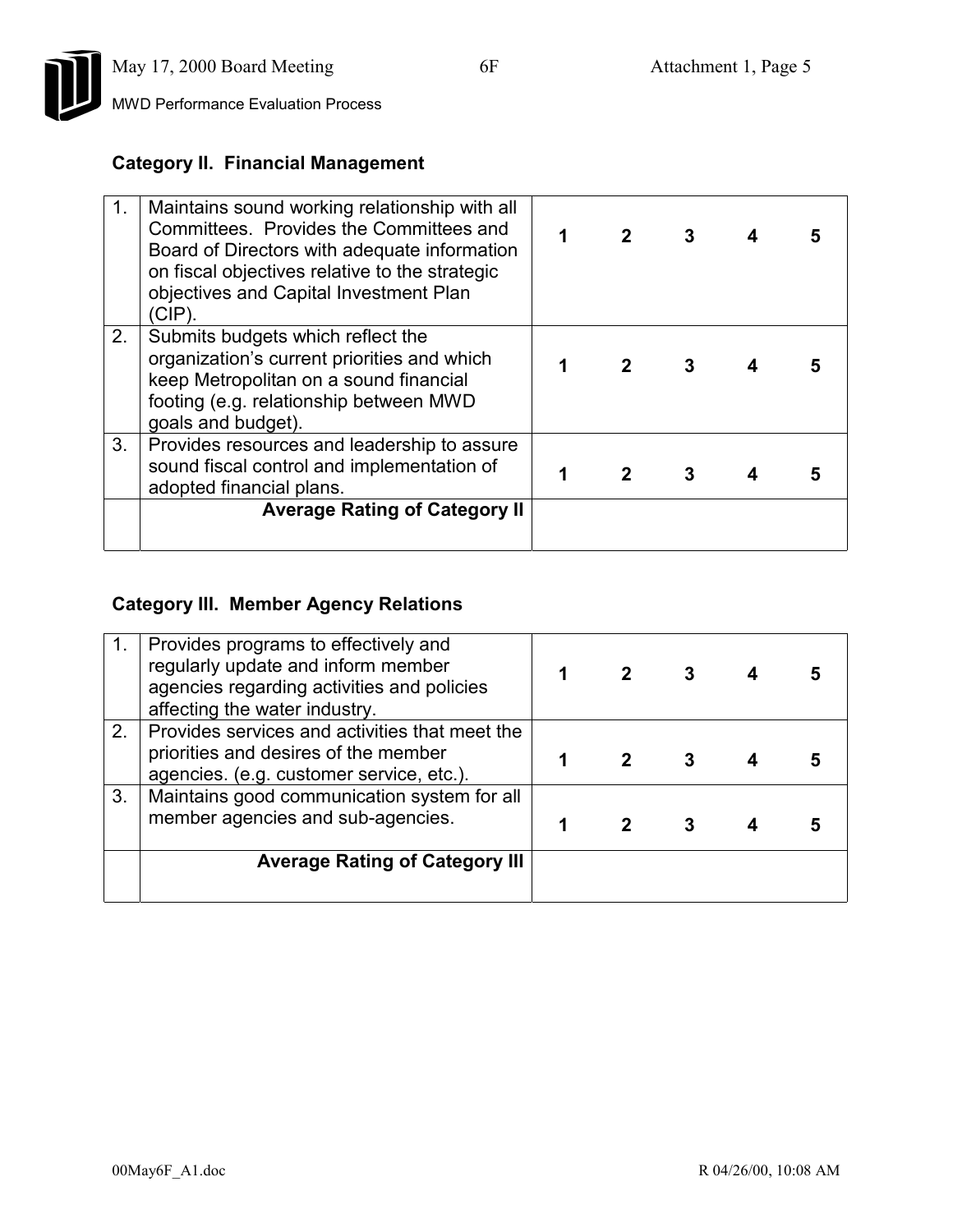

# **Category II. Financial Management**

| $\mathbf{1}$ . | Maintains sound working relationship with all<br>Committees. Provides the Committees and<br>Board of Directors with adequate information<br>on fiscal objectives relative to the strategic<br>objectives and Capital Investment Plan<br>(CIP). | $\mathbf{2}$ | 3 |  |
|----------------|------------------------------------------------------------------------------------------------------------------------------------------------------------------------------------------------------------------------------------------------|--------------|---|--|
| 2.             | Submits budgets which reflect the<br>organization's current priorities and which<br>keep Metropolitan on a sound financial<br>footing (e.g. relationship between MWD<br>goals and budget).                                                     | $2^{\circ}$  | 3 |  |
| 3.             | Provides resources and leadership to assure<br>sound fiscal control and implementation of<br>adopted financial plans.                                                                                                                          |              |   |  |
|                | <b>Average Rating of Category II</b>                                                                                                                                                                                                           |              |   |  |

## **Category III. Member Agency Relations**

|    | Provides programs to effectively and<br>regularly update and inform member<br>agencies regarding activities and policies<br>affecting the water industry. |  |  |  |
|----|-----------------------------------------------------------------------------------------------------------------------------------------------------------|--|--|--|
| 2. | Provides services and activities that meet the<br>priorities and desires of the member<br>agencies. (e.g. customer service, etc.).                        |  |  |  |
| 3. | Maintains good communication system for all<br>member agencies and sub-agencies.                                                                          |  |  |  |
|    | <b>Average Rating of Category III</b>                                                                                                                     |  |  |  |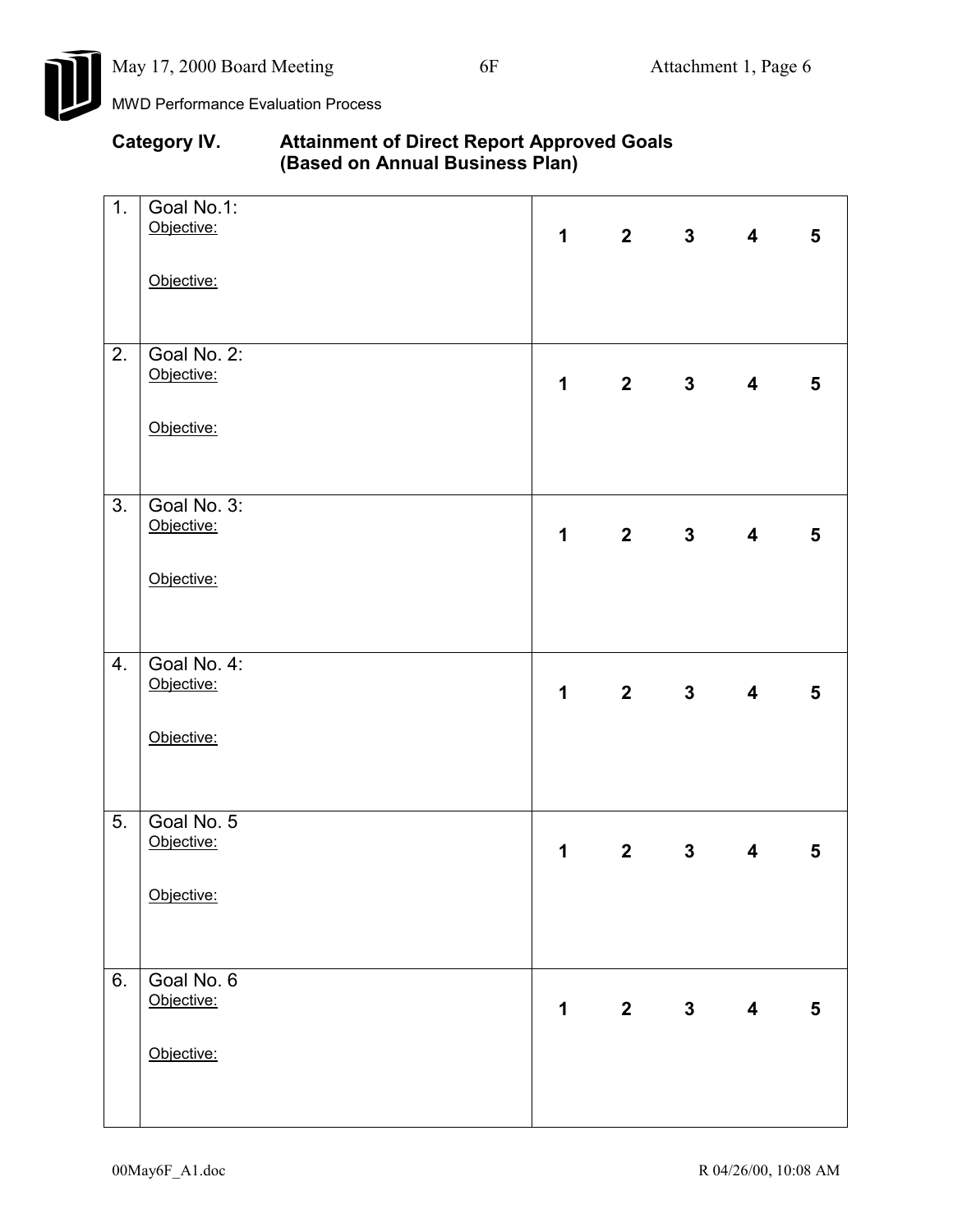

| <b>Category IV.</b> | <b>Attainment of Direct Report Approved Goals</b> |
|---------------------|---------------------------------------------------|
|                     | (Based on Annual Business Plan)                   |

| 1. | Goal No.1:<br>Objective:  | $\mathbf 1$ |             | $2 \qquad 3$   | $\overline{\mathbf{4}}$ | 5              |
|----|---------------------------|-------------|-------------|----------------|-------------------------|----------------|
|    |                           |             |             |                |                         |                |
|    | Objective:                |             |             |                |                         |                |
|    |                           |             |             |                |                         |                |
| 2. | Goal No. 2:<br>Objective: | $\mathbf 1$ |             | $2 \t 3$       | $\overline{\mathbf{4}}$ | 5              |
|    |                           |             |             |                |                         |                |
|    | Objective:                |             |             |                |                         |                |
|    |                           |             |             |                |                         |                |
| 3. | Goal No. 3:<br>Objective: |             |             |                |                         |                |
|    |                           | $\mathbf 1$ |             | $2 \t 3$       | $\overline{\mathbf{4}}$ | $5\phantom{1}$ |
|    | Objective:                |             |             |                |                         |                |
|    |                           |             |             |                |                         |                |
| 4. | Goal No. 4:<br>Objective: |             |             |                |                         |                |
|    |                           | $\mathbf 1$ |             | $2 \t 3$       | $\overline{\mathbf{4}}$ | 5              |
|    | Objective:                |             |             |                |                         |                |
|    |                           |             |             |                |                         |                |
| 5. | Goal No. 5                |             |             |                |                         |                |
|    | Objective:                | $\mathbf 1$ | $2^{\sim}$  | 3 <sup>1</sup> | $\overline{\mathbf{4}}$ | $5\phantom{1}$ |
|    | Objective:                |             |             |                |                         |                |
|    |                           |             |             |                |                         |                |
| 6. | Goal No. 6                |             |             |                |                         |                |
|    | Objective:                | 1           | $2^{\circ}$ | 3 <sup>7</sup> | $\overline{\mathbf{4}}$ | $5\phantom{1}$ |
|    | Objective:                |             |             |                |                         |                |
|    |                           |             |             |                |                         |                |
|    |                           |             |             |                |                         |                |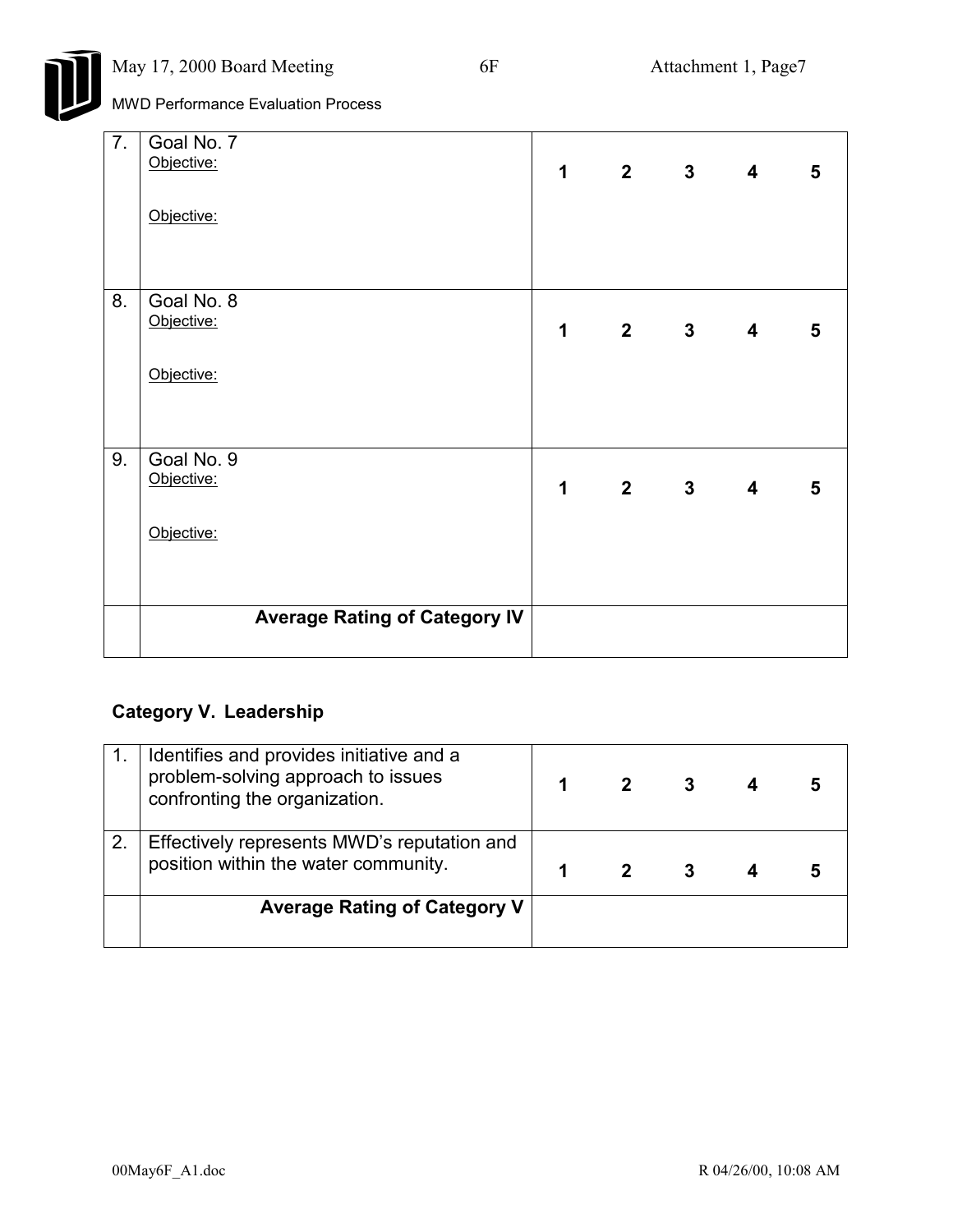

| 7. | Goal No. 7<br>Objective:<br>Objective: | $\mathbf 1$ |             | 2 3 4 5 |   |
|----|----------------------------------------|-------------|-------------|---------|---|
| 8. | Goal No. 8<br>Objective:<br>Objective: | $\mathbf 1$ | $2 \t3 \t4$ |         | 5 |
| 9. | Goal No. 9<br>Objective:<br>Objective: | $\mathbf 1$ | 2 3 4       |         | 5 |
|    | <b>Average Rating of Category IV</b>   |             |             |         |   |

# **Category V. Leadership**

|    | Identifies and provides initiative and a<br>problem-solving approach to issues<br>confronting the organization. |  | 3 |  |
|----|-----------------------------------------------------------------------------------------------------------------|--|---|--|
| 2. | Effectively represents MWD's reputation and<br>position within the water community.                             |  |   |  |
|    | <b>Average Rating of Category V</b>                                                                             |  |   |  |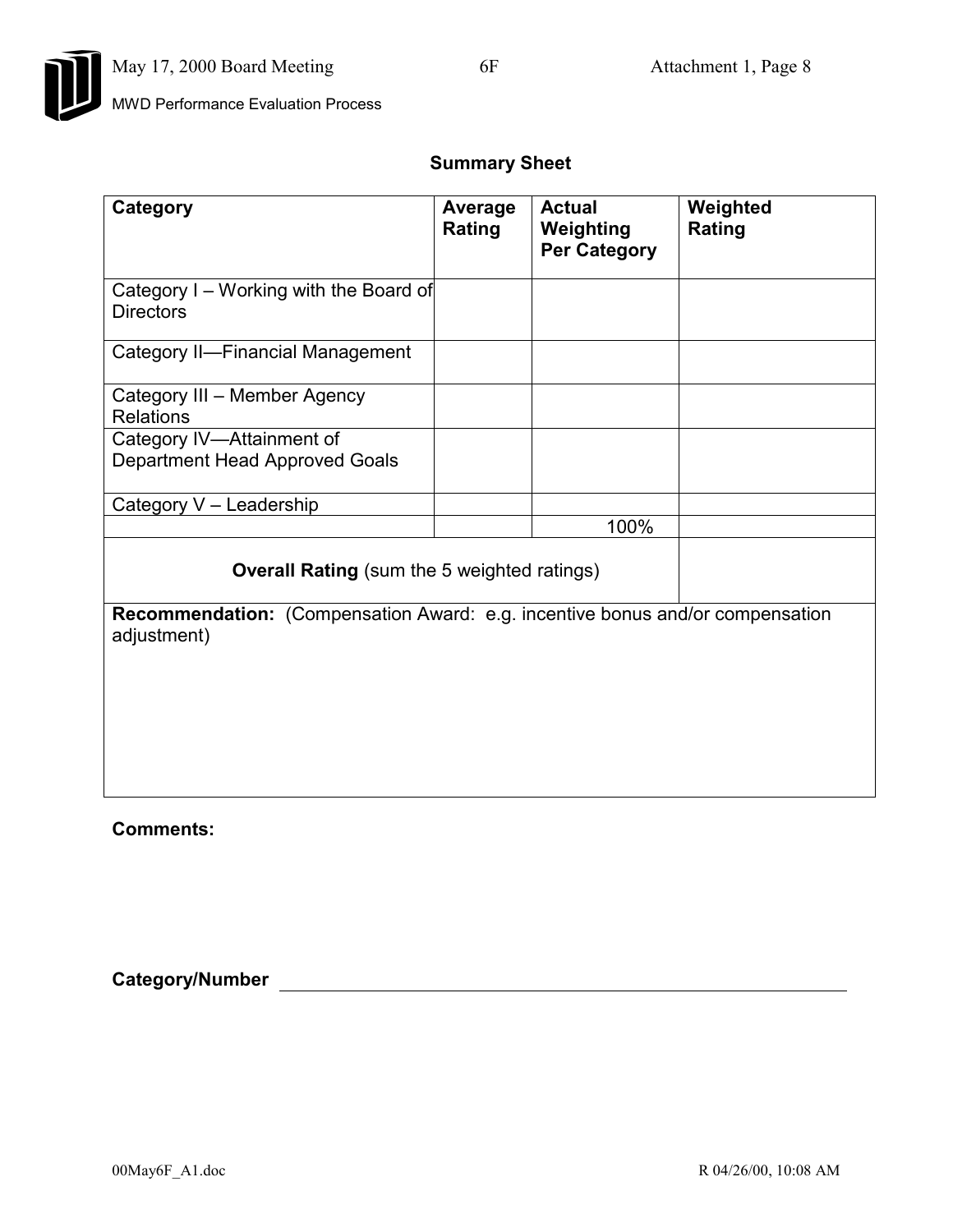

## **Summary Sheet**

| Category                                                                                            | Average<br>Rating | <b>Actual</b><br>Weighting<br><b>Per Category</b> | Weighted<br>Rating |  |  |  |
|-----------------------------------------------------------------------------------------------------|-------------------|---------------------------------------------------|--------------------|--|--|--|
| Category I - Working with the Board of<br><b>Directors</b>                                          |                   |                                                   |                    |  |  |  |
| <b>Category II-Financial Management</b>                                                             |                   |                                                   |                    |  |  |  |
| Category III - Member Agency<br><b>Relations</b>                                                    |                   |                                                   |                    |  |  |  |
| Category IV-Attainment of<br>Department Head Approved Goals                                         |                   |                                                   |                    |  |  |  |
| Category V - Leadership                                                                             |                   |                                                   |                    |  |  |  |
|                                                                                                     |                   | 100%                                              |                    |  |  |  |
| <b>Overall Rating</b> (sum the 5 weighted ratings)                                                  |                   |                                                   |                    |  |  |  |
| <b>Recommendation:</b> (Compensation Award: e.g. incentive bonus and/or compensation<br>adjustment) |                   |                                                   |                    |  |  |  |
|                                                                                                     |                   |                                                   |                    |  |  |  |
|                                                                                                     |                   |                                                   |                    |  |  |  |
|                                                                                                     |                   |                                                   |                    |  |  |  |

**Comments:**

**Category/Number**